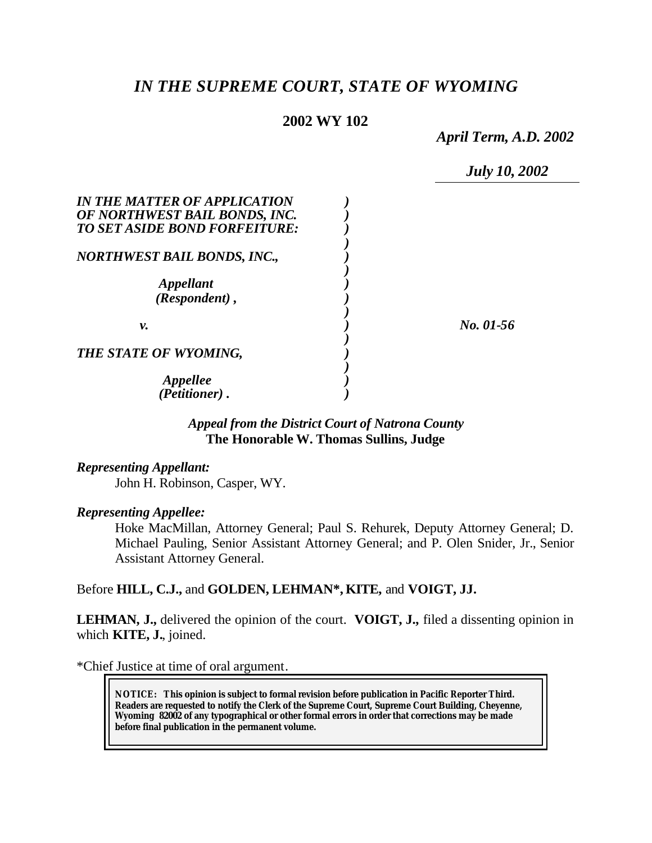# *IN THE SUPREME COURT, STATE OF WYOMING*

# **2002 WY 102**

*April Term, A.D. 2002*

*July 10, 2002*

| IN THE MATTER OF APPLICATION<br>OF NORTHWEST BAIL BONDS, INC.<br>TO SET ASIDE BOND FORFEITURE: |           |
|------------------------------------------------------------------------------------------------|-----------|
| NORTHWEST BAIL BONDS, INC.,                                                                    |           |
| <i><b>Appellant</b></i><br>(Respondent),                                                       |           |
| ν.                                                                                             | No. 01-56 |
| THE STATE OF WYOMING,                                                                          |           |
| Appellee<br>(Petitioner).                                                                      |           |

# *Appeal from the District Court of Natrona County* **The Honorable W. Thomas Sullins, Judge**

*Representing Appellant:*

John H. Robinson, Casper, WY.

# *Representing Appellee:*

Hoke MacMillan, Attorney General; Paul S. Rehurek, Deputy Attorney General; D. Michael Pauling, Senior Assistant Attorney General; and P. Olen Snider, Jr., Senior Assistant Attorney General.

# Before **HILL, C.J.,** and **GOLDEN, LEHMAN\*, KITE,** and **VOIGT, JJ.**

**LEHMAN, J.,** delivered the opinion of the court. **VOIGT, J.,** filed a dissenting opinion in which **KITE, J.**, joined.

\*Chief Justice at time of oral argument.

**NOTICE:** *This opinion is subject to formal revision before publication in Pacific Reporter Third. Readers are requested to notify the Clerk of the Supreme Court, Supreme Court Building, Cheyenne, Wyoming 82002 of any typographical or other formal errors in order that corrections may be made before final publication in the permanent volume.*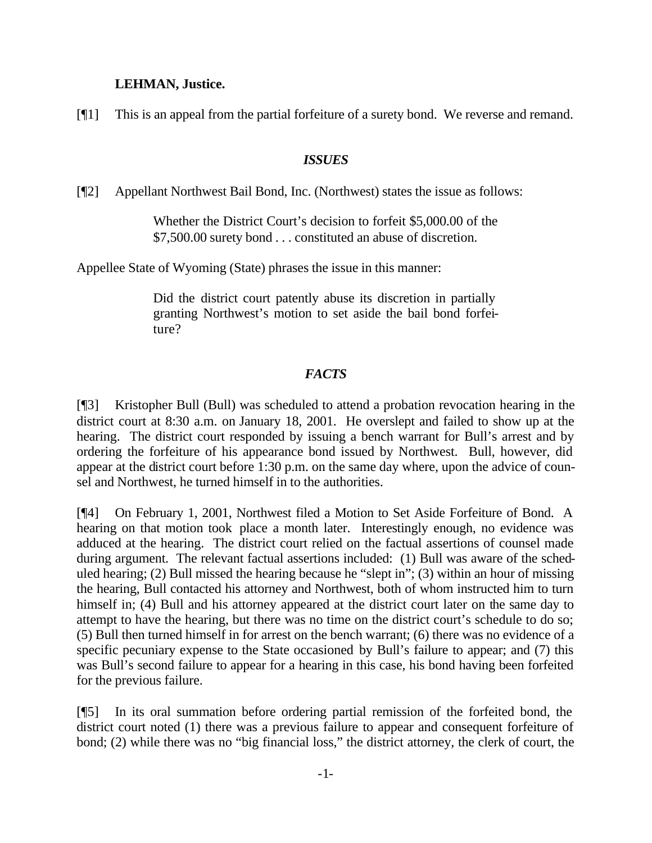# **LEHMAN, Justice.**

[¶1] This is an appeal from the partial forfeiture of a surety bond. We reverse and remand.

### *ISSUES*

[¶2] Appellant Northwest Bail Bond, Inc. (Northwest) states the issue as follows:

Whether the District Court's decision to forfeit \$5,000.00 of the \$7,500.00 surety bond . . . constituted an abuse of discretion.

Appellee State of Wyoming (State) phrases the issue in this manner:

Did the district court patently abuse its discretion in partially granting Northwest's motion to set aside the bail bond forfeiture?

# *FACTS*

[¶3] Kristopher Bull (Bull) was scheduled to attend a probation revocation hearing in the district court at 8:30 a.m. on January 18, 2001. He overslept and failed to show up at the hearing. The district court responded by issuing a bench warrant for Bull's arrest and by ordering the forfeiture of his appearance bond issued by Northwest. Bull, however, did appear at the district court before 1:30 p.m. on the same day where, upon the advice of counsel and Northwest, he turned himself in to the authorities.

[¶4] On February 1, 2001, Northwest filed a Motion to Set Aside Forfeiture of Bond. A hearing on that motion took place a month later. Interestingly enough, no evidence was adduced at the hearing. The district court relied on the factual assertions of counsel made during argument. The relevant factual assertions included: (1) Bull was aware of the scheduled hearing; (2) Bull missed the hearing because he "slept in"; (3) within an hour of missing the hearing, Bull contacted his attorney and Northwest, both of whom instructed him to turn himself in; (4) Bull and his attorney appeared at the district court later on the same day to attempt to have the hearing, but there was no time on the district court's schedule to do so; (5) Bull then turned himself in for arrest on the bench warrant; (6) there was no evidence of a specific pecuniary expense to the State occasioned by Bull's failure to appear; and (7) this was Bull's second failure to appear for a hearing in this case, his bond having been forfeited for the previous failure.

[¶5] In its oral summation before ordering partial remission of the forfeited bond, the district court noted (1) there was a previous failure to appear and consequent forfeiture of bond; (2) while there was no "big financial loss," the district attorney, the clerk of court, the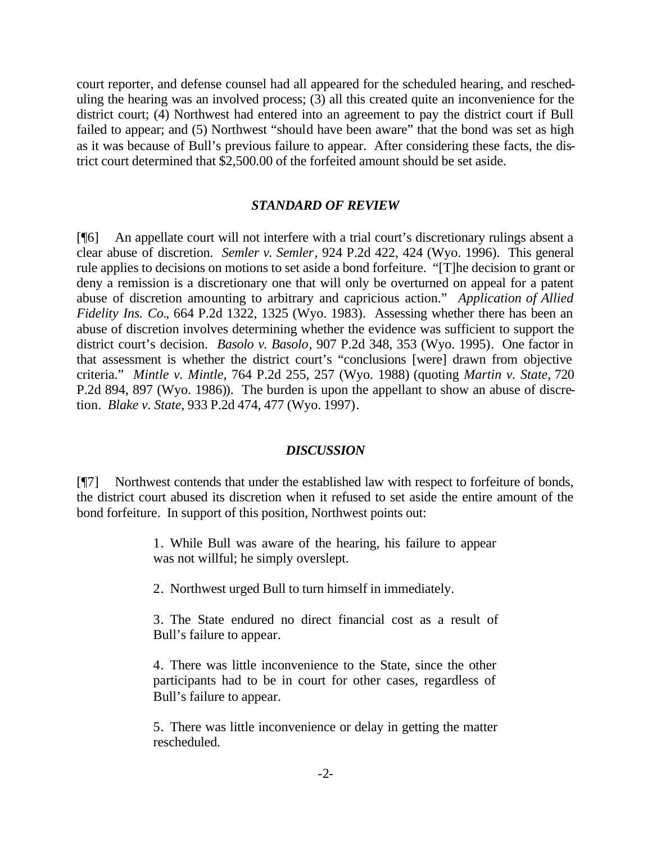court reporter, and defense counsel had all appeared for the scheduled hearing, and rescheduling the hearing was an involved process; (3) all this created quite an inconvenience for the district court; (4) Northwest had entered into an agreement to pay the district court if Bull failed to appear; and (5) Northwest "should have been aware" that the bond was set as high as it was because of Bull's previous failure to appear. After considering these facts, the district court determined that \$2,500.00 of the forfeited amount should be set aside.

### *STANDARD OF REVIEW*

[¶6] An appellate court will not interfere with a trial court's discretionary rulings absent a clear abuse of discretion. *Semler v. Semler*, 924 P.2d 422, 424 (Wyo. 1996). This general rule applies to decisions on motions to set aside a bond forfeiture. "[T]he decision to grant or deny a remission is a discretionary one that will only be overturned on appeal for a patent abuse of discretion amounting to arbitrary and capricious action." *Application of Allied Fidelity Ins. Co.*, 664 P.2d 1322, 1325 (Wyo. 1983). Assessing whether there has been an abuse of discretion involves determining whether the evidence was sufficient to support the district court's decision. *Basolo v. Basolo*, 907 P.2d 348, 353 (Wyo. 1995). One factor in that assessment is whether the district court's "conclusions [were] drawn from objective criteria." *Mintle v. Mintle*, 764 P.2d 255, 257 (Wyo. 1988) (quoting *Martin v. State*, 720 P.2d 894, 897 (Wyo. 1986)). The burden is upon the appellant to show an abuse of discretion. *Blake v. State*, 933 P.2d 474, 477 (Wyo. 1997).

#### *DISCUSSION*

[¶7] Northwest contends that under the established law with respect to forfeiture of bonds, the district court abused its discretion when it refused to set aside the entire amount of the bond forfeiture. In support of this position, Northwest points out:

> 1. While Bull was aware of the hearing, his failure to appear was not willful; he simply overslept.

2. Northwest urged Bull to turn himself in immediately.

3. The State endured no direct financial cost as a result of Bull's failure to appear.

4. There was little inconvenience to the State, since the other participants had to be in court for other cases, regardless of Bull's failure to appear.

5. There was little inconvenience or delay in getting the matter rescheduled.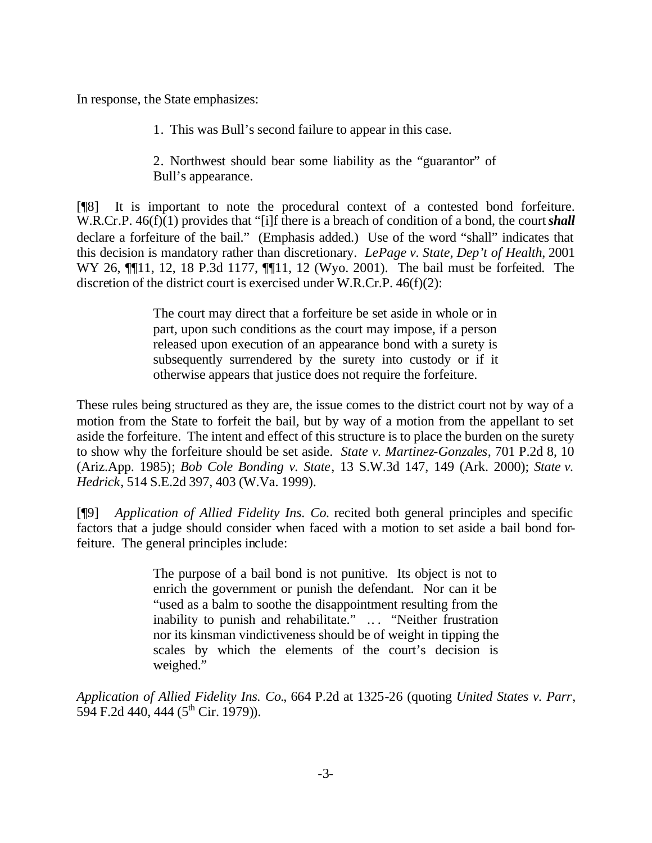In response, the State emphasizes:

1. This was Bull's second failure to appear in this case.

2. Northwest should bear some liability as the "guarantor" of Bull's appearance.

[¶8] It is important to note the procedural context of a contested bond forfeiture. W.R.Cr.P. 46(f)(1) provides that "[i]f there is a breach of condition of a bond, the court **shall** declare a forfeiture of the bail." (Emphasis added.) Use of the word "shall" indicates that this decision is mandatory rather than discretionary. *LePage v. State, Dep't of Health*, 2001 WY 26, ¶¶11, 12, 18 P.3d 1177, ¶¶11, 12 (Wyo. 2001). The bail must be forfeited. The discretion of the district court is exercised under W.R.Cr.P. 46(f)(2):

> The court may direct that a forfeiture be set aside in whole or in part, upon such conditions as the court may impose, if a person released upon execution of an appearance bond with a surety is subsequently surrendered by the surety into custody or if it otherwise appears that justice does not require the forfeiture.

These rules being structured as they are, the issue comes to the district court not by way of a motion from the State to forfeit the bail, but by way of a motion from the appellant to set aside the forfeiture. The intent and effect of this structure is to place the burden on the surety to show why the forfeiture should be set aside. *State v. Martinez-Gonzales*, 701 P.2d 8, 10 (Ariz.App. 1985); *Bob Cole Bonding v. State*, 13 S.W.3d 147, 149 (Ark. 2000); *State v. Hedrick*, 514 S.E.2d 397, 403 (W.Va. 1999).

[¶9] *Application of Allied Fidelity Ins. Co.* recited both general principles and specific factors that a judge should consider when faced with a motion to set aside a bail bond forfeiture. The general principles include:

> The purpose of a bail bond is not punitive. Its object is not to enrich the government or punish the defendant. Nor can it be "used as a balm to soothe the disappointment resulting from the inability to punish and rehabilitate." .. . "Neither frustration nor its kinsman vindictiveness should be of weight in tipping the scales by which the elements of the court's decision is weighed."

*Application of Allied Fidelity Ins. Co.*, 664 P.2d at 1325-26 (quoting *United States v. Parr*, 594 F.2d 440, 444 ( $5<sup>th</sup>$  Cir. 1979)).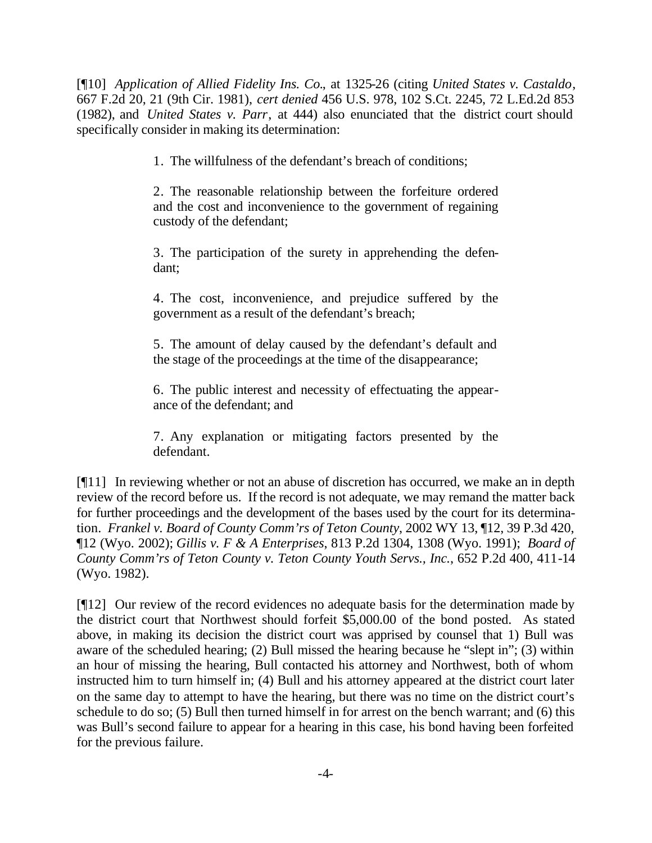[¶10] *Application of Allied Fidelity Ins. Co.*, at 1325-26 (citing *United States v. Castaldo*, 667 F.2d 20, 21 (9th Cir. 1981), *cert denied* 456 U.S. 978, 102 S.Ct. 2245, 72 L.Ed.2d 853 (1982), and *United States v. Parr*, at 444) also enunciated that the district court should specifically consider in making its determination:

1. The willfulness of the defendant's breach of conditions;

2. The reasonable relationship between the forfeiture ordered and the cost and inconvenience to the government of regaining custody of the defendant;

3. The participation of the surety in apprehending the defendant;

4. The cost, inconvenience, and prejudice suffered by the government as a result of the defendant's breach;

5. The amount of delay caused by the defendant's default and the stage of the proceedings at the time of the disappearance;

6. The public interest and necessity of effectuating the appearance of the defendant; and

7. Any explanation or mitigating factors presented by the defendant.

[¶11] In reviewing whether or not an abuse of discretion has occurred, we make an in depth review of the record before us. If the record is not adequate, we may remand the matter back for further proceedings and the development of the bases used by the court for its determination. *Frankel v. Board of County Comm'rs of Teton County*, 2002 WY 13, ¶12, 39 P.3d 420, ¶12 (Wyo. 2002); *Gillis v. F & A Enterprises*, 813 P.2d 1304, 1308 (Wyo. 1991); *Board of County Comm'rs of Teton County v. Teton County Youth Servs., Inc.*, 652 P.2d 400, 411-14 (Wyo. 1982).

[¶12] Our review of the record evidences no adequate basis for the determination made by the district court that Northwest should forfeit \$5,000.00 of the bond posted. As stated above, in making its decision the district court was apprised by counsel that 1) Bull was aware of the scheduled hearing; (2) Bull missed the hearing because he "slept in"; (3) within an hour of missing the hearing, Bull contacted his attorney and Northwest, both of whom instructed him to turn himself in; (4) Bull and his attorney appeared at the district court later on the same day to attempt to have the hearing, but there was no time on the district court's schedule to do so; (5) Bull then turned himself in for arrest on the bench warrant; and (6) this was Bull's second failure to appear for a hearing in this case, his bond having been forfeited for the previous failure.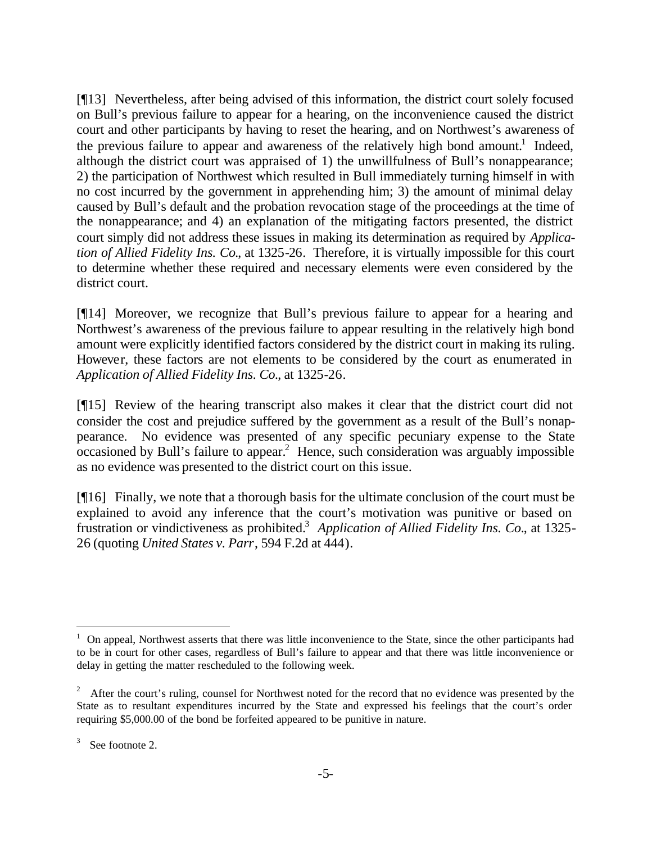[¶13] Nevertheless, after being advised of this information, the district court solely focused on Bull's previous failure to appear for a hearing, on the inconvenience caused the district court and other participants by having to reset the hearing, and on Northwest's awareness of the previous failure to appear and awareness of the relatively high bond amount.<sup>1</sup> Indeed, although the district court was appraised of 1) the unwillfulness of Bull's nonappearance; 2) the participation of Northwest which resulted in Bull immediately turning himself in with no cost incurred by the government in apprehending him; 3) the amount of minimal delay caused by Bull's default and the probation revocation stage of the proceedings at the time of the nonappearance; and 4) an explanation of the mitigating factors presented, the district court simply did not address these issues in making its determination as required by *Application of Allied Fidelity Ins. Co.*, at 1325-26. Therefore, it is virtually impossible for this court to determine whether these required and necessary elements were even considered by the district court.

[¶14] Moreover, we recognize that Bull's previous failure to appear for a hearing and Northwest's awareness of the previous failure to appear resulting in the relatively high bond amount were explicitly identified factors considered by the district court in making its ruling. However, these factors are not elements to be considered by the court as enumerated in *Application of Allied Fidelity Ins. Co.*, at 1325-26.

[¶15] Review of the hearing transcript also makes it clear that the district court did not consider the cost and prejudice suffered by the government as a result of the Bull's nonappearance. No evidence was presented of any specific pecuniary expense to the State occasioned by Bull's failure to appear.<sup>2</sup> Hence, such consideration was arguably impossible as no evidence was presented to the district court on this issue.

[¶16] Finally, we note that a thorough basis for the ultimate conclusion of the court must be explained to avoid any inference that the court's motivation was punitive or based on frustration or vindictiveness as prohibited.<sup>3</sup> Application of Allied Fidelity Ins. Co., at 1325-26 (quoting *United States v. Parr*, 594 F.2d at 444).

l

<sup>&</sup>lt;sup>1</sup> On appeal, Northwest asserts that there was little inconvenience to the State, since the other participants had to be in court for other cases, regardless of Bull's failure to appear and that there was little inconvenience or delay in getting the matter rescheduled to the following week.

<sup>&</sup>lt;sup>2</sup> After the court's ruling, counsel for Northwest noted for the record that no evidence was presented by the State as to resultant expenditures incurred by the State and expressed his feelings that the court's order requiring \$5,000.00 of the bond be forfeited appeared to be punitive in nature.

<sup>3</sup> See footnote 2.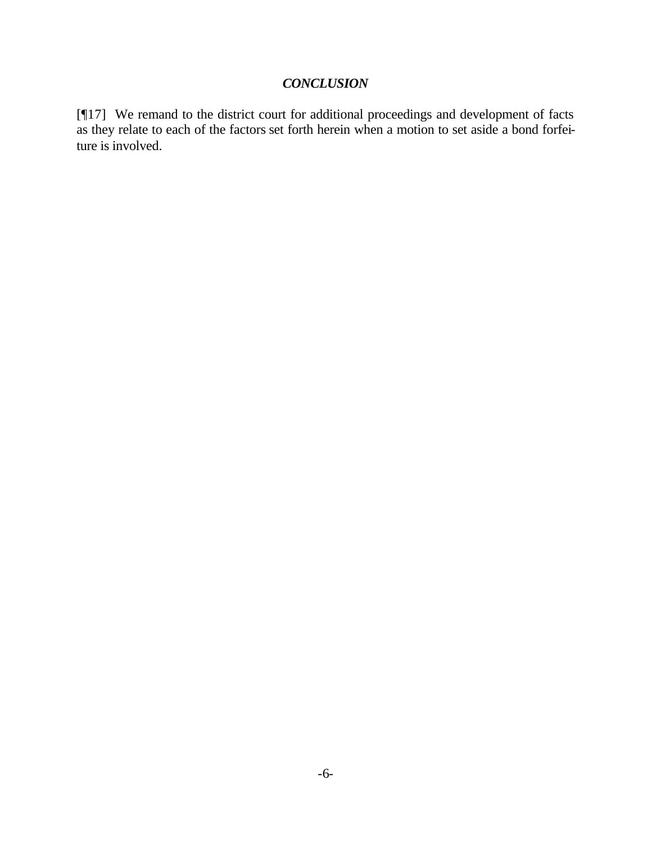# *CONCLUSION*

[¶17] We remand to the district court for additional proceedings and development of facts as they relate to each of the factors set forth herein when a motion to set aside a bond forfeiture is involved.